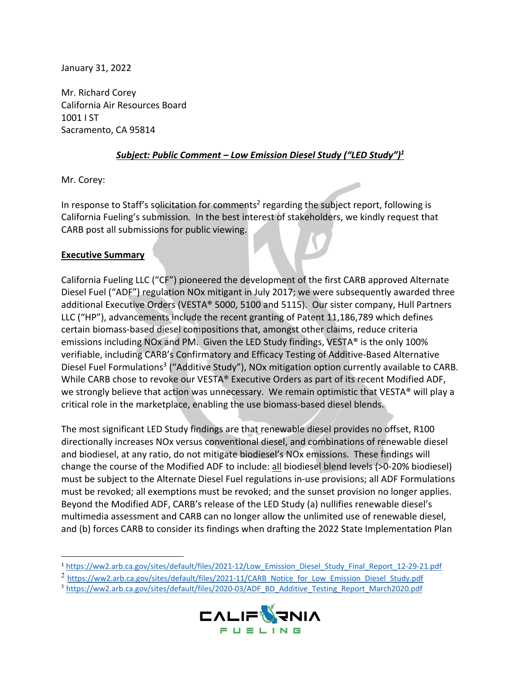January 31, 2022

Mr. Richard Corey California Air Resources Board 1001 I ST Sacramento, CA 95814

## *Subject: Public Comment – Low Emission Diesel Study ("LED Study") 1*

**A** 

Mr. Corey:

In response to Staff's solicitation for comments<sup>2</sup> regarding the subject report, following is California Fueling's submission*.* In the best interest of stakeholders, we kindly request that CARB post all submissions for public viewing.

## **Executive Summary**

California Fueling LLC ("CF") pioneered the development of the first CARB approved Alternate Diesel Fuel ("ADF") regulation NOx mitigant in July 2017; we were subsequently awarded three additional Executive Orders (VESTA® 5000, 5100 and 5115). Our sister company, Hull Partners LLC ("HP"), advancements include the recent granting of Patent 11,186,789 which defines certain biomass-based diesel compositions that, amongst other claims, reduce criteria emissions including NOx and PM. Given the LED Study findings, VESTA® is the only 100% verifiable, including CARB's Confirmatory and Efficacy Testing of Additive-Based Alternative Diesel Fuel Formulations<sup>3</sup> ("Additive Study"), NOx mitigation option currently available to CARB. While CARB chose to revoke our VESTA® Executive Orders as part of its recent Modified ADF, we strongly believe that action was unnecessary. We remain optimistic that VESTA® will play a critical role in the marketplace, enabling the use biomass-based diesel blends.

The most significant LED Study findings are that renewable diesel provides no offset, R100 directionally increases NOx versus conventional diesel, and combinations of renewable diesel and biodiesel, at any ratio, do not mitigate biodiesel's NOx emissions. These findings will change the course of the Modified ADF to include: all biodiesel blend levels (>0-20% biodiesel) must be subject to the Alternate Diesel Fuel regulations in-use provisions; all ADF Formulations must be revoked; all exemptions must be revoked; and the sunset provision no longer applies. Beyond the Modified ADF, CARB's release of the LED Study (a) nullifies renewable diesel's multimedia assessment and CARB can no longer allow the unlimited use of renewable diesel, and (b) forces CARB to consider its findings when drafting the 2022 State Implementation Plan

<sup>3</sup> https://ww2.arb.ca.gov/sites/default/files/2020-03/ADF\_BD\_Additive\_Testing\_Report\_March2020.pdf



<sup>&</sup>lt;sup>1</sup> https://ww2.arb.ca.gov/sites/default/files/2021-12/Low\_Emission\_Diesel\_Study\_Final\_Report\_12-29-21.pdf

<sup>&</sup>lt;sup>2</sup> https://ww2.arb.ca.gov/sites/default/files/2021-11/CARB\_Notice\_for\_Low\_Emission\_Diesel\_Study.pdf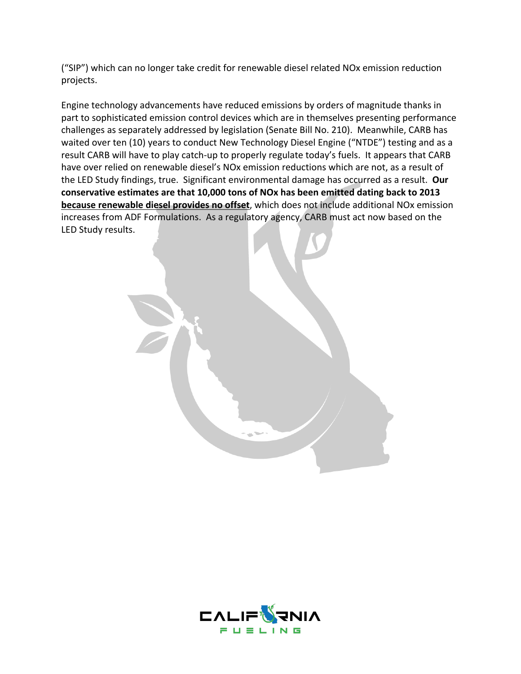("SIP") which can no longer take credit for renewable diesel related NOx emission reduction projects.

Engine technology advancements have reduced emissions by orders of magnitude thanks in part to sophisticated emission control devices which are in themselves presenting performance challenges as separately addressed by legislation (Senate Bill No. 210). Meanwhile, CARB has waited over ten (10) years to conduct New Technology Diesel Engine ("NTDE") testing and as a result CARB will have to play catch-up to properly regulate today's fuels. It appears that CARB have over relied on renewable diesel's NOx emission reductions which are not, as a result of the LED Study findings, true. Significant environmental damage has occurred as a result. **Our conservative estimates are that 10,000 tons of NOx has been emitted dating back to 2013 because renewable diesel provides no offset**, which does not include additional NOx emission increases from ADF Formulations. As a regulatory agency, CARB must act now based on the LED Study results.

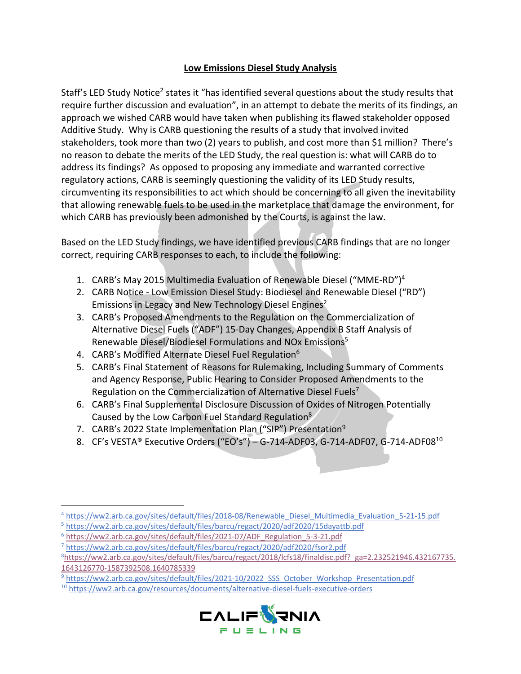## **Low Emissions Diesel Study Analysis**

Staff's LED Study Notice<sup>2</sup> states it "has identified several questions about the study results that require further discussion and evaluation", in an attempt to debate the merits of its findings, an approach we wished CARB would have taken when publishing its flawed stakeholder opposed Additive Study. Why is CARB questioning the results of a study that involved invited stakeholders, took more than two (2) years to publish, and cost more than \$1 million? There's no reason to debate the merits of the LED Study, the real question is: what will CARB do to address its findings? As opposed to proposing any immediate and warranted corrective regulatory actions, CARB is seemingly questioning the validity of its LED Study results, circumventing its responsibilities to act which should be concerning to all given the inevitability that allowing renewable fuels to be used in the marketplace that damage the environment, for which CARB has previously been admonished by the Courts, is against the law.

Based on the LED Study findings, we have identified previous CARB findings that are no longer correct, requiring CARB responses to each, to include the following:

- 1. CARB's May 2015 Multimedia Evaluation of Renewable Diesel ("MME-RD")4
- 2. CARB Notice Low Emission Diesel Study: Biodiesel and Renewable Diesel ("RD") Emissions in Legacy and New Technology Diesel Engines<sup>2</sup>
- 3. CARB's Proposed Amendments to the Regulation on the Commercialization of Alternative Diesel Fuels ("ADF") 15-Day Changes, Appendix B Staff Analysis of Renewable Diesel/Biodiesel Formulations and NOx Emissions<sup>5</sup>
- 4. CARB's Modified Alternate Diesel Fuel Regulation<sup>6</sup>
- 5. CARB's Final Statement of Reasons for Rulemaking, Including Summary of Comments and Agency Response, Public Hearing to Consider Proposed Amendments to the Regulation on the Commercialization of Alternative Diesel Fuels<sup>7</sup>
- 6. CARB's Final Supplemental Disclosure Discussion of Oxides of Nitrogen Potentially Caused by the Low Carbon Fuel Standard Regulation8
- 7. CARB's 2022 State Implementation Plan ("SIP") Presentation<sup>9</sup>
- 8. CF's VESTA® Executive Orders ("EO's") G-714-ADF03, G-714-ADF07, G-714-ADF08<sup>10</sup>

<sup>10</sup> https://ww2.arb.ca.gov/resources/documents/alternative-diesel-fuels-executive-orders



<sup>4</sup> https://ww2.arb.ca.gov/sites/default/files/2018-08/Renewable\_Diesel\_Multimedia\_Evaluation\_5-21-15.pdf

<sup>5</sup> https://ww2.arb.ca.gov/sites/default/files/barcu/regact/2020/adf2020/15dayattb.pdf

<sup>&</sup>lt;sup>6</sup> https://ww2.arb.ca.gov/sites/default/files/2021-07/ADF\_Regulation\_5-3-21.pdf

<sup>7</sup> https://ww2.arb.ca.gov/sites/default/files/barcu/regact/2020/adf2020/fsor2.pdf

<sup>&</sup>lt;sup>8</sup>https://ww2.arb.ca.gov/sites/default/files/barcu/regact/2018/lcfs18/finaldisc.pdf?\_ga=2.232521946.432167735. 1643126770-1587392508.1640785339

<sup>9</sup> https://ww2.arb.ca.gov/sites/default/files/2021-10/2022\_SSS\_October\_Workshop\_Presentation.pdf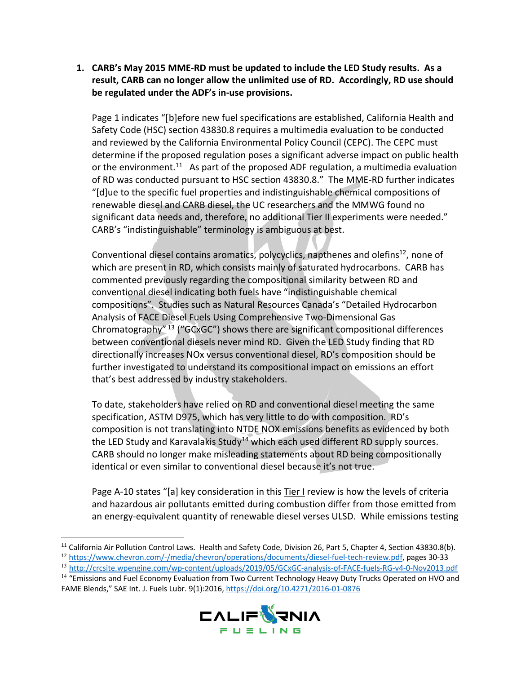**1. CARB's May 2015 MME-RD must be updated to include the LED Study results. As a result, CARB can no longer allow the unlimited use of RD. Accordingly, RD use should be regulated under the ADF's in-use provisions.** 

Page 1 indicates "[b]efore new fuel specifications are established, California Health and Safety Code (HSC) section 43830.8 requires a multimedia evaluation to be conducted and reviewed by the California Environmental Policy Council (CEPC). The CEPC must determine if the proposed regulation poses a significant adverse impact on public health or the environment.<sup>11</sup> As part of the proposed ADF regulation, a multimedia evaluation of RD was conducted pursuant to HSC section 43830.8." The MME-RD further indicates "[d]ue to the specific fuel properties and indistinguishable chemical compositions of renewable diesel and CARB diesel, the UC researchers and the MMWG found no significant data needs and, therefore, no additional Tier II experiments were needed." CARB's "indistinguishable" terminology is ambiguous at best.

Conventional diesel contains aromatics, polycyclics, napthenes and olefins $^{12}$ , none of which are present in RD, which consists mainly of saturated hydrocarbons. CARB has commented previously regarding the compositional similarity between RD and conventional diesel indicating both fuels have "indistinguishable chemical compositions". Studies such as Natural Resources Canada's "Detailed Hydrocarbon Analysis of FACE Diesel Fuels Using Comprehensive Two-Dimensional Gas Chromatography" <sup>13</sup> ("GCxGC") shows there are significant compositional differences between conventional diesels never mind RD. Given the LED Study finding that RD directionally increases NOx versus conventional diesel, RD's composition should be further investigated to understand its compositional impact on emissions an effort that's best addressed by industry stakeholders.

To date, stakeholders have relied on RD and conventional diesel meeting the same specification, ASTM D975, which has very little to do with composition. RD's composition is not translating into NTDE NOX emissions benefits as evidenced by both the LED Study and Karavalakis Study<sup>14</sup> which each used different RD supply sources. CARB should no longer make misleading statements about RD being compositionally identical or even similar to conventional diesel because it's not true.

Page A-10 states "[a] key consideration in this Tier I review is how the levels of criteria and hazardous air pollutants emitted during combustion differ from those emitted from an energy-equivalent quantity of renewable diesel verses ULSD. While emissions testing

<sup>&</sup>lt;sup>14</sup> "Emissions and Fuel Economy Evaluation from Two Current Technology Heavy Duty Trucks Operated on HVO and FAME Blends," SAE Int. J. Fuels Lubr. 9(1):2016, https://doi.org/10.4271/2016-01-0876



<sup>&</sup>lt;sup>11</sup> California Air Pollution Control Laws. Health and Safety Code, Division 26, Part 5, Chapter 4, Section 43830.8(b).

<sup>12</sup> https://www.chevron.com/-/media/chevron/operations/documents/diesel-fuel-tech-review.pdf, pages 30-33

<sup>13</sup> http://crcsite.wpengine.com/wp-content/uploads/2019/05/GCxGC-analysis-of-FACE-fuels-RG-v4-0-Nov2013.pdf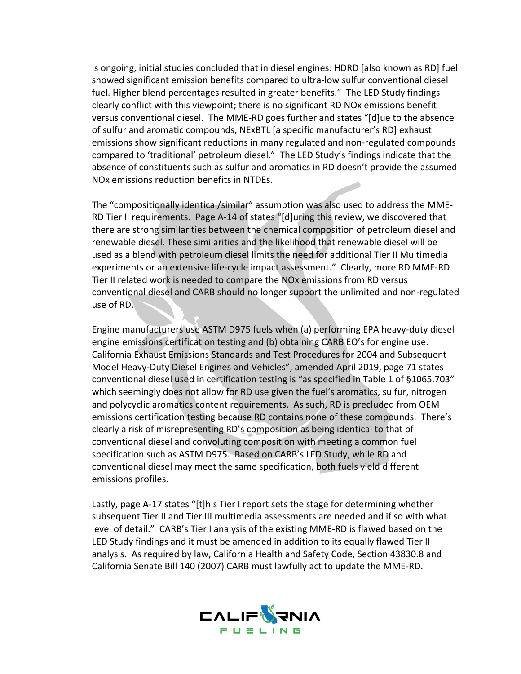is ongoing, initial studies concluded that in diesel engines: HDRD [also known as RD] fuel showed significant emission benefits compared to ultra-low sulfur conventional diesel fuel. Higher blend percentages resulted in greater benefits." The LED Study findings clearly conflict with this viewpoint; there is no significant RD NOx emissions benefit versus conventional diesel. The MME-RD goes further and states "[d]ue to the absence of sulfur and aromatic compounds, NExBTL [a specific manufacturer's RD] exhaust emissions show significant reductions in many regulated and non-regulated compounds compared to 'traditional' petroleum diesel." The LED Study's findings indicate that the absence of constituents such as sulfur and aromatics in RD doesn't provide the assumed NOx emissions reduction benefits in NTDEs.

The "compositionally identical/similar" assumption was also used to address the MME-RD Tier II requirements. Page A-14 of states "[d]uring this review, we discovered that there are strong similarities between the chemical composition of petroleum diesel and renewable diesel. These similarities and the likelihood that renewable diesel will be used as a blend with petroleum diesel limits the need for additional Tier II Multimedia experiments or an extensive life-cycle impact assessment." Clearly, more RD MME-RD Tier II related work is needed to compare the NOx emissions from RD versus conventional diesel and CARB should no longer support the unlimited and non-regulated use of RD.

Engine manufacturers use ASTM D975 fuels when (a) performing EPA heavy-duty diesel engine emissions certification testing and (b) obtaining CARB EO's for engine use. California Exhaust Emissions Standards and Test Procedures for 2004 and Subsequent Model Heavy-Duty Diesel Engines and Vehicles", amended April 2019, page 71 states conventional diesel used in certification testing is "as specified in Table 1 of §1065.703" which seemingly does not allow for RD use given the fuel's aromatics, sulfur, nitrogen and polycyclic aromatics content requirements. As such, RD is precluded from OEM emissions certification testing because RD contains none of these compounds. There's clearly a risk of misrepresenting RD's composition as being identical to that of conventional diesel and convoluting composition with meeting a common fuel specification such as ASTM D975. Based on CARB's LED Study, while RD and conventional diesel may meet the same specification, both fuels yield different emissions profiles.

Lastly, page A-17 states "[t]his Tier I report sets the stage for determining whether subsequent Tier II and Tier III multimedia assessments are needed and if so with what level of detail." CARB's Tier I analysis of the existing MME-RD is flawed based on the LED Study findings and it must be amended in addition to its equally flawed Tier II analysis. As required by law, California Health and Safety Code, Section 43830.8 and California Senate Bill 140 (2007) CARB must lawfully act to update the MME-RD.

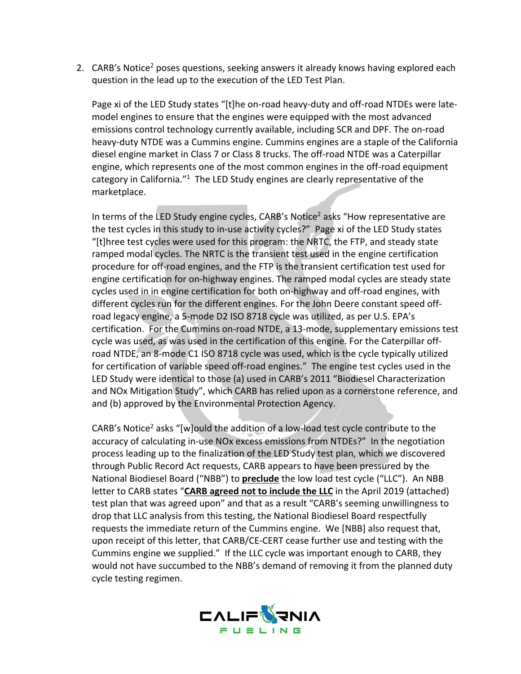2. CARB's Notice<sup>2</sup> poses questions, seeking answers it already knows having explored each question in the lead up to the execution of the LED Test Plan.

Page xi of the LED Study states "[t]he on-road heavy-duty and off-road NTDEs were latemodel engines to ensure that the engines were equipped with the most advanced emissions control technology currently available, including SCR and DPF. The on-road heavy-duty NTDE was a Cummins engine. Cummins engines are a staple of the California diesel engine market in Class 7 or Class 8 trucks. The off-road NTDE was a Caterpillar engine, which represents one of the most common engines in the off-road equipment category in California."<sup>1</sup> The LED Study engines are clearly representative of the marketplace.

In terms of the LED Study engine cycles,  $CARB's$  Notice<sup>2</sup> asks "How representative are the test cycles in this study to in-use activity cycles?" Page xi of the LED Study states "[t]hree test cycles were used for this program: the NRTC, the FTP, and steady state ramped modal cycles. The NRTC is the transient test used in the engine certification procedure for off-road engines, and the FTP is the transient certification test used for engine certification for on-highway engines. The ramped modal cycles are steady state cycles used in in engine certification for both on-highway and off-road engines, with different cycles run for the different engines. For the John Deere constant speed offroad legacy engine, a 5-mode D2 ISO 8718 cycle was utilized, as per U.S. EPA's certification. For the Cummins on-road NTDE, a 13-mode, supplementary emissions test cycle was used, as was used in the certification of this engine. For the Caterpillar offroad NTDE, an 8-mode C1 ISO 8718 cycle was used, which is the cycle typically utilized for certification of variable speed off-road engines." The engine test cycles used in the LED Study were identical to those (a) used in CARB's 2011 "Biodiesel Characterization and NOx Mitigation Study", which CARB has relied upon as a cornerstone reference, and and (b) approved by the Environmental Protection Agency.

CARB's Notice<sup>2</sup> asks "[w]ould the addition of a low-load test cycle contribute to the accuracy of calculating in-use NOx excess emissions from NTDEs?" In the negotiation process leading up to the finalization of the LED Study test plan, which we discovered through Public Record Act requests, CARB appears to have been pressured by the National Biodiesel Board ("NBB") to **preclude** the low load test cycle ("LLC"). An NBB letter to CARB states "**CARB agreed not to include the LLC** in the April 2019 (attached) test plan that was agreed upon" and that as a result "CARB's seeming unwillingness to drop that LLC analysis from this testing, the National Biodiesel Board respectfully requests the immediate return of the Cummins engine. We [NBB] also request that, upon receipt of this letter, that CARB/CE-CERT cease further use and testing with the Cummins engine we supplied." If the LLC cycle was important enough to CARB, they would not have succumbed to the NBB's demand of removing it from the planned duty cycle testing regimen.

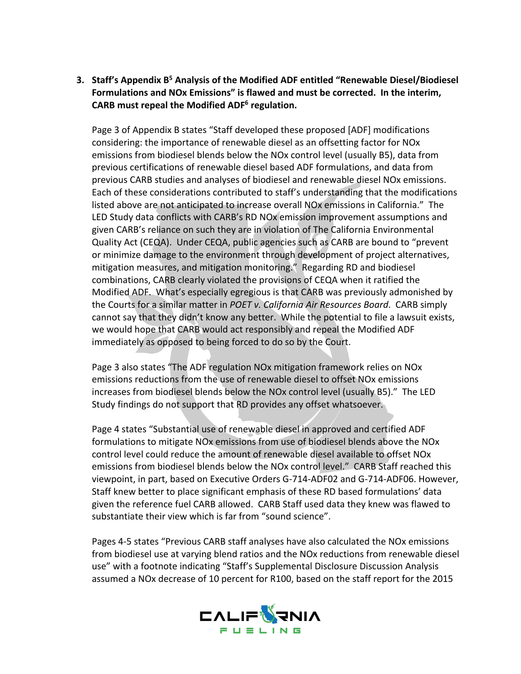**3. Staff's Appendix B5 Analysis of the Modified ADF entitled "Renewable Diesel/Biodiesel Formulations and NOx Emissions" is flawed and must be corrected. In the interim, CARB must repeal the Modified ADF6 regulation.**

Page 3 of Appendix B states "Staff developed these proposed [ADF] modifications considering: the importance of renewable diesel as an offsetting factor for NOx emissions from biodiesel blends below the NOx control level (usually B5), data from previous certifications of renewable diesel based ADF formulations, and data from previous CARB studies and analyses of biodiesel and renewable diesel NOx emissions. Each of these considerations contributed to staff's understanding that the modifications listed above are not anticipated to increase overall NOx emissions in California." The LED Study data conflicts with CARB's RD NOx emission improvement assumptions and given CARB's reliance on such they are in violation of The California Environmental Quality Act (CEQA). Under CEQA, public agencies such as CARB are bound to "prevent or minimize damage to the environment through development of project alternatives, mitigation measures, and mitigation monitoring." Regarding RD and biodiesel combinations, CARB clearly violated the provisions of CEQA when it ratified the Modified ADF. What's especially egregious is that CARB was previously admonished by the Courts for a similar matter in *POET v. California Air Resources Board*. CARB simply cannot say that they didn't know any better. While the potential to file a lawsuit exists, we would hope that CARB would act responsibly and repeal the Modified ADF immediately as opposed to being forced to do so by the Court.

Page 3 also states "The ADF regulation NOx mitigation framework relies on NOx emissions reductions from the use of renewable diesel to offset NOx emissions increases from biodiesel blends below the NOx control level (usually B5)." The LED Study findings do not support that RD provides any offset whatsoever.

Page 4 states "Substantial use of renewable diesel in approved and certified ADF formulations to mitigate NOx emissions from use of biodiesel blends above the NOx control level could reduce the amount of renewable diesel available to offset NOx emissions from biodiesel blends below the NOx control level." CARB Staff reached this viewpoint, in part, based on Executive Orders G-714-ADF02 and G-714-ADF06. However, Staff knew better to place significant emphasis of these RD based formulations' data given the reference fuel CARB allowed. CARB Staff used data they knew was flawed to substantiate their view which is far from "sound science".

Pages 4-5 states "Previous CARB staff analyses have also calculated the NOx emissions from biodiesel use at varying blend ratios and the NOx reductions from renewable diesel use" with a footnote indicating "Staff's Supplemental Disclosure Discussion Analysis assumed a NOx decrease of 10 percent for R100, based on the staff report for the 2015

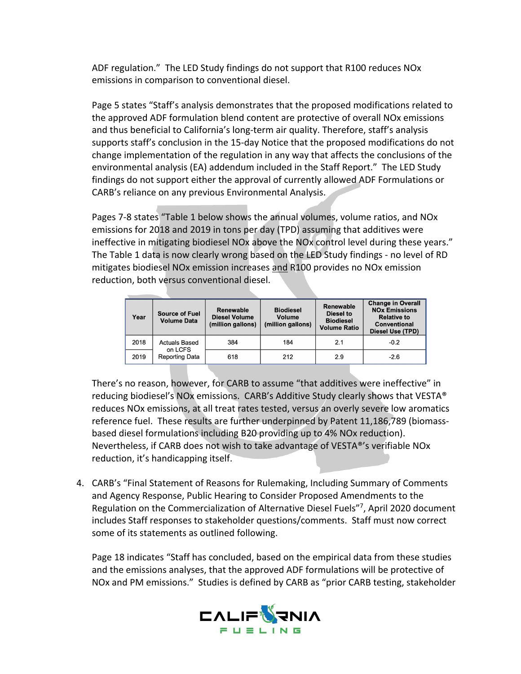ADF regulation." The LED Study findings do not support that R100 reduces NOx emissions in comparison to conventional diesel.

Page 5 states "Staff's analysis demonstrates that the proposed modifications related to the approved ADF formulation blend content are protective of overall NOx emissions and thus beneficial to California's long-term air quality. Therefore, staff's analysis supports staff's conclusion in the 15-day Notice that the proposed modifications do not change implementation of the regulation in any way that affects the conclusions of the environmental analysis (EA) addendum included in the Staff Report." The LED Study findings do not support either the approval of currently allowed ADF Formulations or CARB's reliance on any previous Environmental Analysis.

Pages 7-8 states "Table 1 below shows the annual volumes, volume ratios, and NOx emissions for 2018 and 2019 in tons per day (TPD) assuming that additives were ineffective in mitigating biodiesel NOx above the NOx control level during these years." The Table 1 data is now clearly wrong based on the LED Study findings - no level of RD mitigates biodiesel NOx emission increases and R100 provides no NOx emission reduction, both versus conventional diesel.

| Year | <b>Source of Fuel</b><br><b>Volume Data</b>              | <b>Renewable</b><br><b>Diesel Volume</b><br>(million gallons) | <b>Biodiesel</b><br><b>Volume</b><br>(million gallons) | Renewable<br><b>Diesel to</b><br><b>Biodiesel</b><br><b>Volume Ratio</b> | <b>Change in Overall</b><br><b>NOx Emissions</b><br><b>Relative to</b><br>Conventional<br>Diesel Use (TPD) |
|------|----------------------------------------------------------|---------------------------------------------------------------|--------------------------------------------------------|--------------------------------------------------------------------------|------------------------------------------------------------------------------------------------------------|
| 2018 | <b>Actuals Based</b><br>on LCFS<br><b>Reporting Data</b> | 384                                                           | 184                                                    | 2.1                                                                      | $-0.2$                                                                                                     |
| 2019 |                                                          | 618                                                           | 212                                                    | 2.9                                                                      | $-2.6$                                                                                                     |

There's no reason, however, for CARB to assume "that additives were ineffective" in reducing biodiesel's NOx emissions. CARB's Additive Study clearly shows that VESTA® reduces NOx emissions, at all treat rates tested, versus an overly severe low aromatics reference fuel. These results are further underpinned by Patent 11,186,789 (biomassbased diesel formulations including B20 providing up to 4% NOx reduction). Nevertheless, if CARB does not wish to take advantage of VESTA®'s verifiable NOx reduction, it's handicapping itself.

4. CARB's "Final Statement of Reasons for Rulemaking, Including Summary of Comments and Agency Response, Public Hearing to Consider Proposed Amendments to the Regulation on the Commercialization of Alternative Diesel Fuels"7, April 2020 document includes Staff responses to stakeholder questions/comments. Staff must now correct some of its statements as outlined following.

Page 18 indicates "Staff has concluded, based on the empirical data from these studies and the emissions analyses, that the approved ADF formulations will be protective of NOx and PM emissions." Studies is defined by CARB as "prior CARB testing, stakeholder

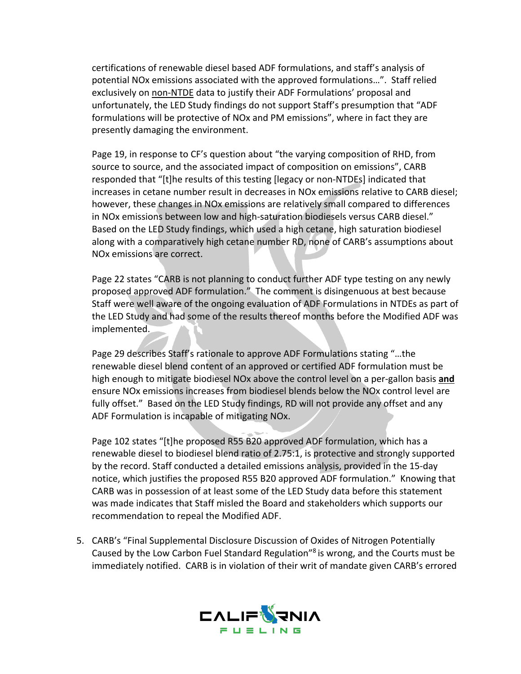certifications of renewable diesel based ADF formulations, and staff's analysis of potential NOx emissions associated with the approved formulations…". Staff relied exclusively on non-NTDE data to justify their ADF Formulations' proposal and unfortunately, the LED Study findings do not support Staff's presumption that "ADF formulations will be protective of NOx and PM emissions", where in fact they are presently damaging the environment.

Page 19, in response to CF's question about "the varying composition of RHD, from source to source, and the associated impact of composition on emissions", CARB responded that "[t]he results of this testing [legacy or non-NTDEs] indicated that increases in cetane number result in decreases in NOx emissions relative to CARB diesel; however, these changes in NOx emissions are relatively small compared to differences in NOx emissions between low and high-saturation biodiesels versus CARB diesel." Based on the LED Study findings, which used a high cetane, high saturation biodiesel along with a comparatively high cetane number RD, none of CARB's assumptions about NOx emissions are correct.

Page 22 states "CARB is not planning to conduct further ADF type testing on any newly proposed approved ADF formulation." The comment is disingenuous at best because Staff were well aware of the ongoing evaluation of ADF Formulations in NTDEs as part of the LED Study and had some of the results thereof months before the Modified ADF was implemented.

Page 29 describes Staff's rationale to approve ADF Formulations stating "…the renewable diesel blend content of an approved or certified ADF formulation must be high enough to mitigate biodiesel NOx above the control level on a per-gallon basis **and** ensure NOx emissions increases from biodiesel blends below the NOx control level are fully offset." Based on the LED Study findings, RD will not provide any offset and any ADF Formulation is incapable of mitigating NOx.

Page 102 states "[t]he proposed R55 B20 approved ADF formulation, which has a renewable diesel to biodiesel blend ratio of 2.75:1, is protective and strongly supported by the record. Staff conducted a detailed emissions analysis, provided in the 15-day notice, which justifies the proposed R55 B20 approved ADF formulation." Knowing that CARB was in possession of at least some of the LED Study data before this statement was made indicates that Staff misled the Board and stakeholders which supports our recommendation to repeal the Modified ADF.

5. CARB's "Final Supplemental Disclosure Discussion of Oxides of Nitrogen Potentially Caused by the Low Carbon Fuel Standard Regulation"8 is wrong, and the Courts must be immediately notified. CARB is in violation of their writ of mandate given CARB's errored

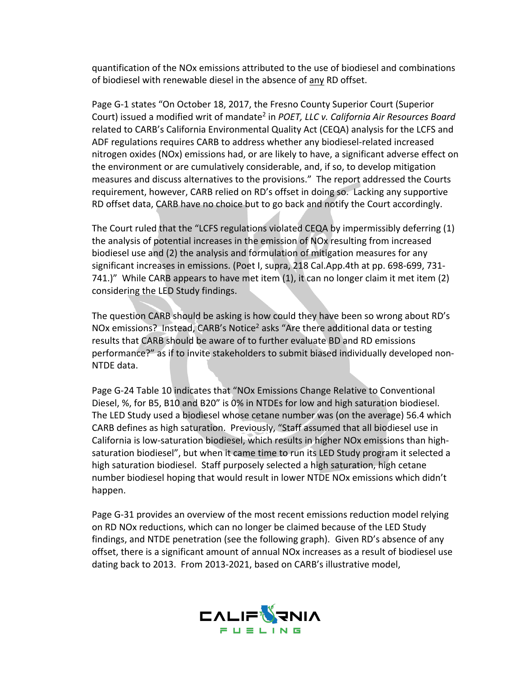quantification of the NOx emissions attributed to the use of biodiesel and combinations of biodiesel with renewable diesel in the absence of any RD offset.

Page G-1 states "On October 18, 2017, the Fresno County Superior Court (Superior Court) issued a modified writ of mandate2 in *POET, LLC v. California Air Resources Board* related to CARB's California Environmental Quality Act (CEQA) analysis for the LCFS and ADF regulations requires CARB to address whether any biodiesel-related increased nitrogen oxides (NOx) emissions had, or are likely to have, a significant adverse effect on the environment or are cumulatively considerable, and, if so, to develop mitigation measures and discuss alternatives to the provisions." The report addressed the Courts requirement, however, CARB relied on RD's offset in doing so. Lacking any supportive RD offset data, CARB have no choice but to go back and notify the Court accordingly.

The Court ruled that the "LCFS regulations violated CEQA by impermissibly deferring (1) the analysis of potential increases in the emission of NOx resulting from increased biodiesel use and (2) the analysis and formulation of mitigation measures for any significant increases in emissions. (Poet I, supra, 218 Cal.App.4th at pp. 698-699, 731- 741.)" While CARB appears to have met item (1), it can no longer claim it met item (2) considering the LED Study findings.

The question CARB should be asking is how could they have been so wrong about RD's NOx emissions? Instead, CARB's Notice<sup>2</sup> asks "Are there additional data or testing results that CARB should be aware of to further evaluate BD and RD emissions performance?" as if to invite stakeholders to submit biased individually developed non-NTDE data.

Page G-24 Table 10 indicates that "NOx Emissions Change Relative to Conventional Diesel, %, for B5, B10 and B20" is 0% in NTDEs for low and high saturation biodiesel. The LED Study used a biodiesel whose cetane number was (on the average) 56.4 which CARB defines as high saturation. Previously, "Staff assumed that all biodiesel use in California is low-saturation biodiesel, which results in higher NOx emissions than highsaturation biodiesel", but when it came time to run its LED Study program it selected a high saturation biodiesel. Staff purposely selected a high saturation, high cetane number biodiesel hoping that would result in lower NTDE NOx emissions which didn't happen.

Page G-31 provides an overview of the most recent emissions reduction model relying on RD NOx reductions, which can no longer be claimed because of the LED Study findings, and NTDE penetration (see the following graph). Given RD's absence of any offset, there is a significant amount of annual NOx increases as a result of biodiesel use dating back to 2013. From 2013-2021, based on CARB's illustrative model,

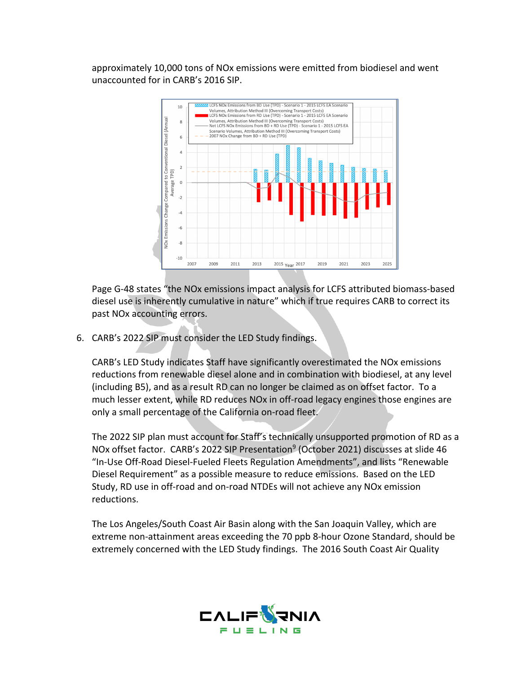approximately 10,000 tons of NOx emissions were emitted from biodiesel and went unaccounted for in CARB's 2016 SIP.



Page G-48 states "the NOx emissions impact analysis for LCFS attributed biomass-based diesel use is inherently cumulative in nature" which if true requires CARB to correct its past NOx accounting errors.

6. CARB's 2022 SIP must consider the LED Study findings.

CARB's LED Study indicates Staff have significantly overestimated the NOx emissions reductions from renewable diesel alone and in combination with biodiesel, at any level (including B5), and as a result RD can no longer be claimed as on offset factor. To a much lesser extent, while RD reduces NOx in off-road legacy engines those engines are only a small percentage of the California on-road fleet.

The 2022 SIP plan must account for Staff's technically unsupported promotion of RD as a NOx offset factor. CARB's 2022 SIP Presentation<sup>9</sup> (October 2021) discusses at slide 46 "In-Use Off-Road Diesel-Fueled Fleets Regulation Amendments", and lists "Renewable Diesel Requirement" as a possible measure to reduce emissions. Based on the LED Study, RD use in off-road and on-road NTDEs will not achieve any NOx emission reductions.

The Los Angeles/South Coast Air Basin along with the San Joaquin Valley, which are extreme non-attainment areas exceeding the 70 ppb 8-hour Ozone Standard, should be extremely concerned with the LED Study findings. The 2016 South Coast Air Quality

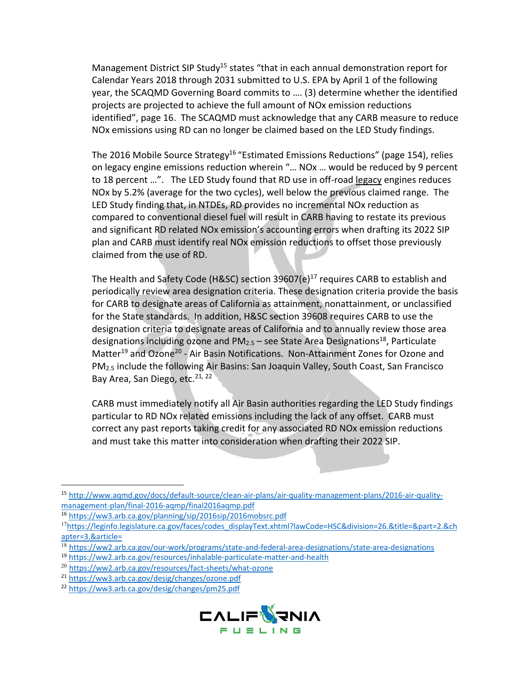Management District SIP Study<sup>15</sup> states "that in each annual demonstration report for Calendar Years 2018 through 2031 submitted to U.S. EPA by April 1 of the following year, the SCAQMD Governing Board commits to …. (3) determine whether the identified projects are projected to achieve the full amount of NOx emission reductions identified", page 16. The SCAQMD must acknowledge that any CARB measure to reduce NOx emissions using RD can no longer be claimed based on the LED Study findings.

The 2016 Mobile Source Strategy<sup>16</sup> "Estimated Emissions Reductions" (page 154), relies on legacy engine emissions reduction wherein "… NOx … would be reduced by 9 percent to 18 percent …". The LED Study found that RD use in off-road legacy engines reduces NOx by 5.2% (average for the two cycles), well below the previous claimed range. The LED Study finding that, in NTDEs, RD provides no incremental NOx reduction as compared to conventional diesel fuel will result in CARB having to restate its previous and significant RD related NOx emission's accounting errors when drafting its 2022 SIP plan and CARB must identify real NOx emission reductions to offset those previously claimed from the use of RD.

The Health and Safety Code (H&SC) section  $39607(e)^{17}$  requires CARB to establish and periodically review area designation criteria. These designation criteria provide the basis for CARB to designate areas of California as attainment, nonattainment, or unclassified for the State standards. In addition, H&SC section 39608 requires CARB to use the designation criteria to designate areas of California and to annually review those area designations including ozone and  $PM_{2.5}$  – see State Area Designations<sup>18</sup>, Particulate Matter<sup>19</sup> and Ozone<sup>20</sup> - Air Basin Notifications. Non-Attainment Zones for Ozone and PM2.5 include the following Air Basins: San Joaquin Valley, South Coast, San Francisco Bay Area, San Diego, etc.<sup>21, 22</sup>

CARB must immediately notify all Air Basin authorities regarding the LED Study findings particular to RD NOx related emissions including the lack of any offset. CARB must correct any past reports taking credit for any associated RD NOx emission reductions and must take this matter into consideration when drafting their 2022 SIP.

<sup>22</sup> https://ww3.arb.ca.gov/desig/changes/pm25.pdf



<sup>15</sup> http://www.aqmd.gov/docs/default-source/clean-air-plans/air-quality-management-plans/2016-air-qualitymanagement-plan/final-2016-aqmp/final2016aqmp.pdf

<sup>16</sup> https://ww3.arb.ca.gov/planning/sip/2016sip/2016mobsrc.pdf

<sup>17</sup>https://leginfo.legislature.ca.gov/faces/codes\_displayText.xhtml?lawCode=HSC&division=26.&title=&part=2.&ch apter=3.&article=

<sup>18</sup> https://ww2.arb.ca.gov/our-work/programs/state-and-federal-area-designations/state-area-designations

<sup>19</sup> https://ww2.arb.ca.gov/resources/inhalable-particulate-matter-and-health

<sup>20</sup> https://ww2.arb.ca.gov/resources/fact-sheets/what-ozone

<sup>21</sup> https://ww3.arb.ca.gov/desig/changes/ozone.pdf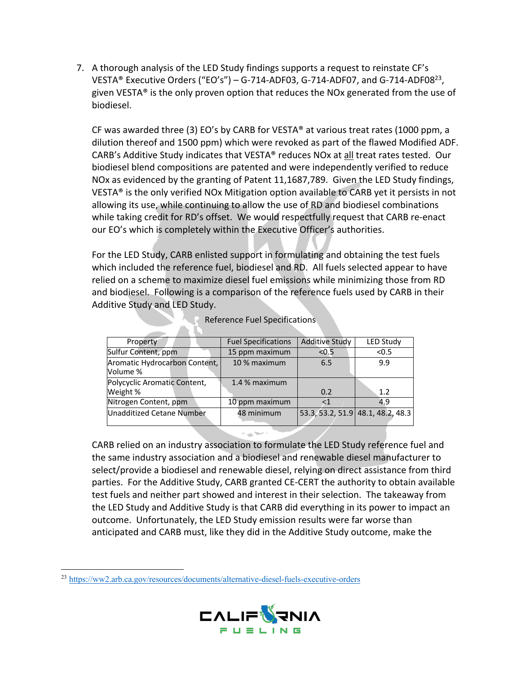7. A thorough analysis of the LED Study findings supports a request to reinstate CF's VESTA® Executive Orders ("EO's") – G-714-ADF03, G-714-ADF07, and G-714-ADF0823, given VESTA® is the only proven option that reduces the NOx generated from the use of biodiesel.

CF was awarded three (3) EO's by CARB for VESTA® at various treat rates (1000 ppm, a dilution thereof and 1500 ppm) which were revoked as part of the flawed Modified ADF. CARB's Additive Study indicates that VESTA® reduces NOx at all treat rates tested. Our biodiesel blend compositions are patented and were independently verified to reduce NOx as evidenced by the granting of Patent 11,1687,789. Given the LED Study findings, VESTA® is the only verified NOx Mitigation option available to CARB yet it persists in not allowing its use, while continuing to allow the use of RD and biodiesel combinations while taking credit for RD's offset. We would respectfully request that CARB re-enact our EO's which is completely within the Executive Officer's authorities.

For the LED Study, CARB enlisted support in formulating and obtaining the test fuels which included the reference fuel, biodiesel and RD. All fuels selected appear to have relied on a scheme to maximize diesel fuel emissions while minimizing those from RD and biodiesel. Following is a comparison of the reference fuels used by CARB in their Additive Study and LED Study.

| Property                                  | <b>Fuel Specifications</b> | <b>Additive Study</b> | <b>LED Study</b>                  |
|-------------------------------------------|----------------------------|-----------------------|-----------------------------------|
| Sulfur Content, ppm                       | 15 ppm maximum             | < 0.5                 | < 0.5                             |
| Aromatic Hydrocarbon Content,<br>Volume % | 10 % maximum               | 6.5                   | 9.9                               |
| Polycyclic Aromatic Content,<br>Weight %  | 1.4 % maximum              | 0.2                   | 1.2                               |
| Nitrogen Content, ppm                     | 10 ppm maximum             | <1                    | 4.9                               |
| Unadditized Cetane Number                 | 48 minimum                 |                       | 53.3, 53.2, 51.9 48.1, 48.2, 48.3 |

| <b>Reference Fuel Specifications</b> |  |
|--------------------------------------|--|
|--------------------------------------|--|

CARB relied on an industry association to formulate the LED Study reference fuel and the same industry association and a biodiesel and renewable diesel manufacturer to select/provide a biodiesel and renewable diesel, relying on direct assistance from third parties. For the Additive Study, CARB granted CE-CERT the authority to obtain available test fuels and neither part showed and interest in their selection. The takeaway from the LED Study and Additive Study is that CARB did everything in its power to impact an outcome. Unfortunately, the LED Study emission results were far worse than anticipated and CARB must, like they did in the Additive Study outcome, make the

<sup>23</sup> https://ww2.arb.ca.gov/resources/documents/alternative-diesel-fuels-executive-orders

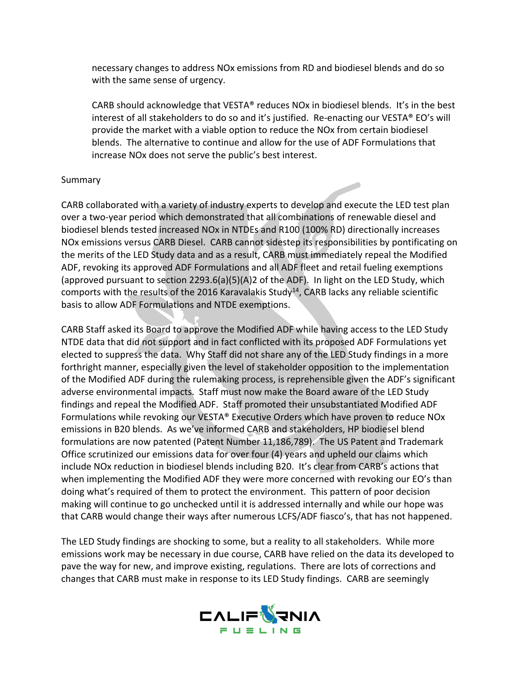necessary changes to address NOx emissions from RD and biodiesel blends and do so with the same sense of urgency.

CARB should acknowledge that VESTA® reduces NOx in biodiesel blends. It's in the best interest of all stakeholders to do so and it's justified. Re-enacting our VESTA® EO's will provide the market with a viable option to reduce the NOx from certain biodiesel blends. The alternative to continue and allow for the use of ADF Formulations that increase NOx does not serve the public's best interest.

 $\overline{\phantom{a}}$ 

## Summary

CARB collaborated with a variety of industry experts to develop and execute the LED test plan over a two-year period which demonstrated that all combinations of renewable diesel and biodiesel blends tested increased NOx in NTDEs and R100 (100% RD) directionally increases NOx emissions versus CARB Diesel. CARB cannot sidestep its responsibilities by pontificating on the merits of the LED Study data and as a result, CARB must immediately repeal the Modified ADF, revoking its approved ADF Formulations and all ADF fleet and retail fueling exemptions (approved pursuant to section 2293.6(a)(5)(A)2 of the ADF). In light on the LED Study, which comports with the results of the 2016 Karavalakis Study<sup>14</sup>, CARB lacks any reliable scientific basis to allow ADF Formulations and NTDE exemptions.

CARB Staff asked its Board to approve the Modified ADF while having access to the LED Study NTDE data that did not support and in fact conflicted with its proposed ADF Formulations yet elected to suppress the data. Why Staff did not share any of the LED Study findings in a more forthright manner, especially given the level of stakeholder opposition to the implementation of the Modified ADF during the rulemaking process, is reprehensible given the ADF's significant adverse environmental impacts. Staff must now make the Board aware of the LED Study findings and repeal the Modified ADF. Staff promoted their unsubstantiated Modified ADF Formulations while revoking our VESTA® Executive Orders which have proven to reduce NOx emissions in B20 blends. As we've informed CARB and stakeholders, HP biodiesel blend formulations are now patented (Patent Number 11,186,789). The US Patent and Trademark Office scrutinized our emissions data for over four (4) years and upheld our claims which include NOx reduction in biodiesel blends including B20. It's clear from CARB's actions that when implementing the Modified ADF they were more concerned with revoking our EO's than doing what's required of them to protect the environment. This pattern of poor decision making will continue to go unchecked until it is addressed internally and while our hope was that CARB would change their ways after numerous LCFS/ADF fiasco's, that has not happened.

The LED Study findings are shocking to some, but a reality to all stakeholders. While more emissions work may be necessary in due course, CARB have relied on the data its developed to pave the way for new, and improve existing, regulations. There are lots of corrections and changes that CARB must make in response to its LED Study findings. CARB are seemingly